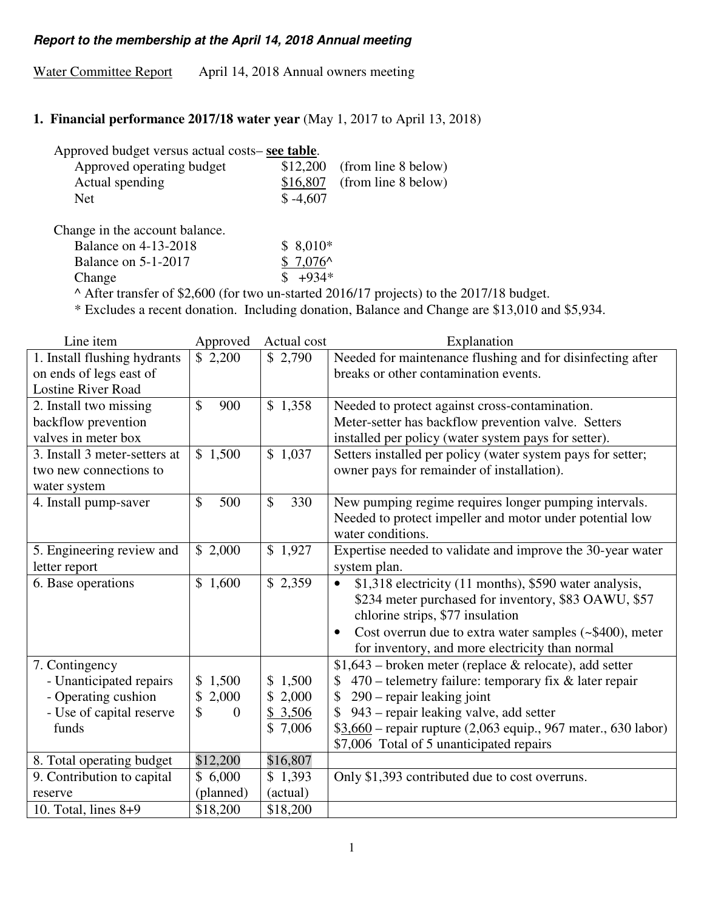#### **Report to the membership at the April 14, 2018 Annual meeting**

Water Committee Report April 14, 2018 Annual owners meeting

### **1. Financial performance 2017/18 water year** (May 1, 2017 to April 13, 2018)

| Approved budget versus actual costs– see table. |            |                               |
|-------------------------------------------------|------------|-------------------------------|
| Approved operating budget                       |            | $$12,200$ (from line 8 below) |
| Actual spending                                 |            | $$16,807$ (from line 8 below) |
| <b>Net</b>                                      | $$ -4.607$ |                               |

Change in the account balance.

Balance on 4-13-2018 \$ 8,010\* Balance on 5-1-2017  $$ 7,076^{\circ}$ Change  $\qquad$   $\qquad$   $\qquad$   $\qquad$   $\qquad$   $\qquad$   $\qquad$   $\qquad$   $\qquad$   $\qquad$   $\qquad$   $\qquad$   $\qquad$   $\qquad$   $\qquad$   $\qquad$   $\qquad$   $\qquad$   $\qquad$   $\qquad$   $\qquad$   $\qquad$   $\qquad$   $\qquad$   $\qquad$   $\qquad$   $\qquad$   $\qquad$   $\qquad$   $\qquad$   $\qquad$   $\qquad$   $\qquad$   $\qquad$   $\qquad$   $\qquad$ 

^ After transfer of \$2,600 (for two un-started 2016/17 projects) to the 2017/18 budget.

\* Excludes a recent donation. Including donation, Balance and Change are \$13,010 and \$5,934.

| Line item                     | Approved            | Actual cost | Explanation                                                             |
|-------------------------------|---------------------|-------------|-------------------------------------------------------------------------|
| 1. Install flushing hydrants  | \$2,200             | \$2,790     | Needed for maintenance flushing and for disinfecting after              |
| on ends of legs east of       |                     |             | breaks or other contamination events.                                   |
| <b>Lostine River Road</b>     |                     |             |                                                                         |
| 2. Install two missing        | $\mathbb{S}$<br>900 | \$1,358     | Needed to protect against cross-contamination.                          |
| backflow prevention           |                     |             | Meter-setter has backflow prevention valve. Setters                     |
| valves in meter box           |                     |             | installed per policy (water system pays for setter).                    |
| 3. Install 3 meter-setters at | \$1,500             | \$1,037     | Setters installed per policy (water system pays for setter;             |
| two new connections to        |                     |             | owner pays for remainder of installation).                              |
| water system                  |                     |             |                                                                         |
| 4. Install pump-saver         | \$<br>500           | \$<br>330   | New pumping regime requires longer pumping intervals.                   |
|                               |                     |             | Needed to protect impeller and motor under potential low                |
|                               |                     |             | water conditions.                                                       |
| 5. Engineering review and     | \$2,000             | \$1,927     | Expertise needed to validate and improve the 30-year water              |
| letter report                 |                     |             | system plan.                                                            |
| 6. Base operations            | \$1,600             | \$2,359     | \$1,318 electricity (11 months), \$590 water analysis,<br>$\bullet$     |
|                               |                     |             | \$234 meter purchased for inventory, \$83 OAWU, \$57                    |
|                               |                     |             | chlorine strips, \$77 insulation                                        |
|                               |                     |             | Cost overrun due to extra water samples $(-\$400)$ , meter<br>$\bullet$ |
|                               |                     |             | for inventory, and more electricity than normal                         |
| 7. Contingency                |                     |             | $$1,643$ – broken meter (replace & relocate), add setter                |
| - Unanticipated repairs       | \$1,500             | \$1,500     | 470 – telemetry failure: temporary fix & later repair                   |
| - Operating cushion           | \$<br>2,000         | \$2,000     | 290 - repair leaking joint                                              |
| - Use of capital reserve      | \$<br>$\theta$      | \$3,506     | 943 – repair leaking valve, add setter                                  |
| funds                         |                     | \$7,006     | $$3,660$ – repair rupture (2,063 equip., 967 mater., 630 labor)         |
|                               |                     |             | \$7,006 Total of 5 unanticipated repairs                                |
| 8. Total operating budget     | \$12,200            | \$16,807    |                                                                         |
| 9. Contribution to capital    | \$6,000             | \$1,393     | Only \$1,393 contributed due to cost overruns.                          |
| reserve                       | (planned)           | (actual)    |                                                                         |
| 10. Total, lines $8+9$        | \$18,200            | \$18,200    |                                                                         |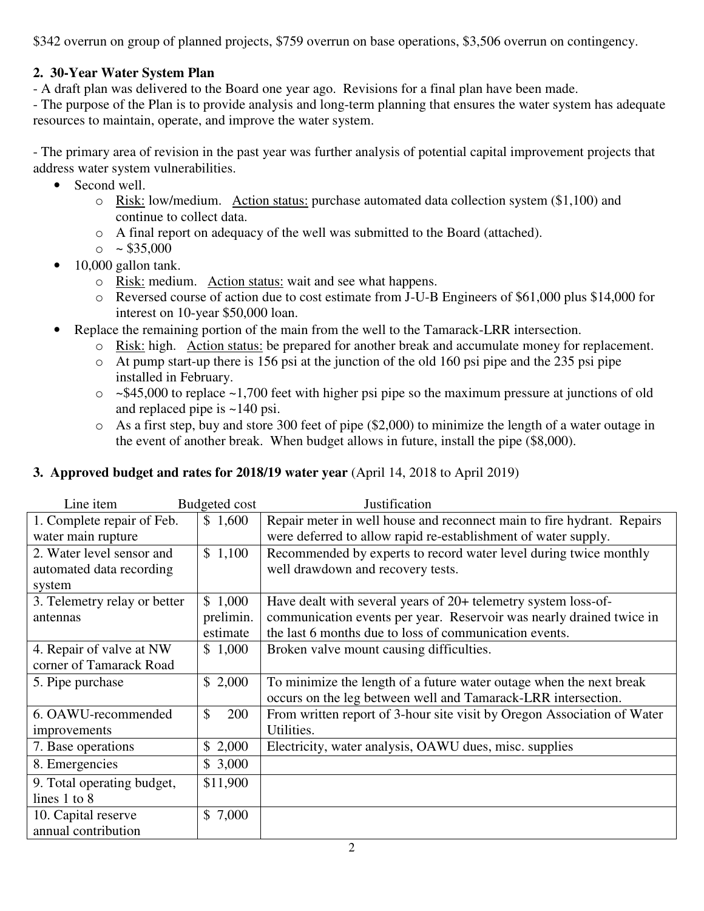\$342 overrun on group of planned projects, \$759 overrun on base operations, \$3,506 overrun on contingency.

# **2. 30-Year Water System Plan**

- A draft plan was delivered to the Board one year ago. Revisions for a final plan have been made.

- The purpose of the Plan is to provide analysis and long-term planning that ensures the water system has adequate resources to maintain, operate, and improve the water system.

- The primary area of revision in the past year was further analysis of potential capital improvement projects that address water system vulnerabilities.

- Second well.
	- o Risk: low/medium. Action status: purchase automated data collection system (\$1,100) and continue to collect data.
	- o A final report on adequacy of the well was submitted to the Board (attached).
	- $\circ$  ~ \$35,000
- 10,000 gallon tank.
	- o Risk: medium. Action status: wait and see what happens.
	- $\circ$  Reversed course of action due to cost estimate from J-U-B Engineers of \$61,000 plus \$14,000 for interest on 10-year \$50,000 loan.
- Replace the remaining portion of the main from the well to the Tamarack-LRR intersection.
	- o Risk: high. Action status: be prepared for another break and accumulate money for replacement.
	- o At pump start-up there is 156 psi at the junction of the old 160 psi pipe and the 235 psi pipe installed in February.
	- $\circ$  ~\$45,000 to replace ~1,700 feet with higher psi pipe so the maximum pressure at junctions of old and replaced pipe is ~140 psi.
	- o As a first step, buy and store 300 feet of pipe (\$2,000) to minimize the length of a water outage in the event of another break. When budget allows in future, install the pipe (\$8,000).

# **3. Approved budget and rates for 2018/19 water year** (April 14, 2018 to April 2019)

| Line item                    | Budgeted cost        | Justification                                                           |
|------------------------------|----------------------|-------------------------------------------------------------------------|
| 1. Complete repair of Feb.   | \$1,600              | Repair meter in well house and reconnect main to fire hydrant. Repairs  |
| water main rupture           |                      | were deferred to allow rapid re-establishment of water supply.          |
| 2. Water level sensor and    | \$1,100              | Recommended by experts to record water level during twice monthly       |
| automated data recording     |                      | well drawdown and recovery tests.                                       |
| system                       |                      |                                                                         |
| 3. Telemetry relay or better | \$1,000              | Have dealt with several years of 20+ telemetry system loss-of-          |
| antennas                     | prelimin.            | communication events per year. Reservoir was nearly drained twice in    |
|                              | estimate             | the last 6 months due to loss of communication events.                  |
| 4. Repair of valve at NW     | \$1,000              | Broken valve mount causing difficulties.                                |
| corner of Tamarack Road      |                      |                                                                         |
| 5. Pipe purchase             | \$2,000              | To minimize the length of a future water outage when the next break     |
|                              |                      | occurs on the leg between well and Tamarack-LRR intersection.           |
| 6. OAWU-recommended          | $\mathcal{S}$<br>200 | From written report of 3-hour site visit by Oregon Association of Water |
| improvements                 |                      | Utilities.                                                              |
| 7. Base operations           | \$2,000              | Electricity, water analysis, OAWU dues, misc. supplies                  |
| 8. Emergencies               | \$3,000              |                                                                         |
| 9. Total operating budget,   | \$11,900             |                                                                         |
| lines $1$ to $8$             |                      |                                                                         |
| 10. Capital reserve          | \$7,000              |                                                                         |
| annual contribution          |                      |                                                                         |